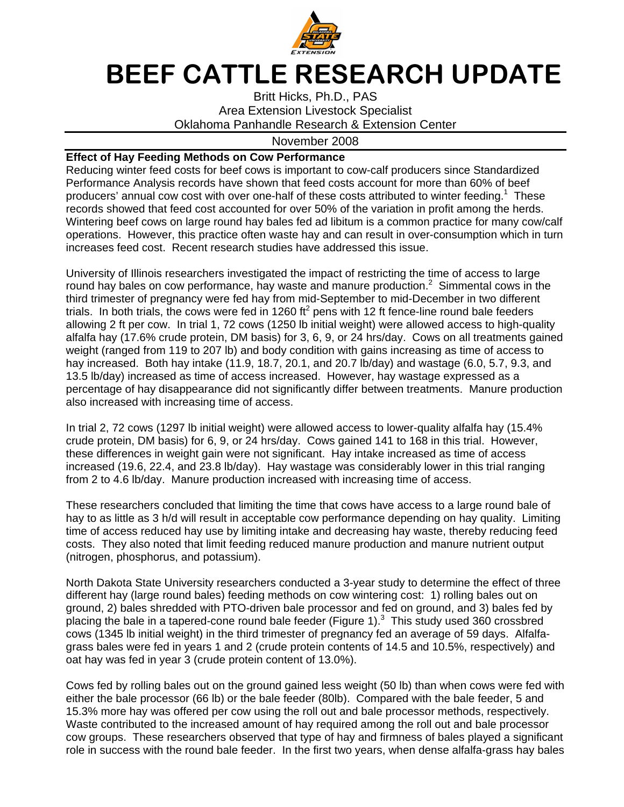

## BEEF CATTLE RESEARCH UPDATE

Britt Hicks, Ph.D., PAS Area Extension Livestock Specialist Oklahoma Panhandle Research & Extension Center

## November 2008

## **Effect of Hay Feeding Methods on Cow Performance**

Reducing winter feed costs for beef cows is important to cow-calf producers since Standardized Performance Analysis records have shown that feed costs account for more than 60% of beef producers' annual cow cost with over one-half of these costs attributed to winter feeding.<sup>1</sup> These records showed that feed cost accounted for over 50% of the variation in profit among the herds. Wintering beef cows on large round hay bales fed ad libitum is a common practice for many cow/calf operations. However, this practice often waste hay and can result in over-consumption which in turn increases feed cost. Recent research studies have addressed this issue.

University of Illinois researchers investigated the impact of restricting the time of access to large round hay bales on cow performance, hay waste and manure production. $2$  Simmental cows in the third trimester of pregnancy were fed hay from mid-September to mid-December in two different trials. In both trials, the cows were fed in 1260 ft<sup>2</sup> pens with 12 ft fence-line round bale feeders allowing 2 ft per cow. In trial 1, 72 cows (1250 lb initial weight) were allowed access to high-quality alfalfa hay (17.6% crude protein, DM basis) for 3, 6, 9, or 24 hrs/day. Cows on all treatments gained weight (ranged from 119 to 207 lb) and body condition with gains increasing as time of access to hay increased. Both hay intake (11.9, 18.7, 20.1, and 20.7 lb/day) and wastage (6.0, 5.7, 9.3, and 13.5 lb/day) increased as time of access increased. However, hay wastage expressed as a percentage of hay disappearance did not significantly differ between treatments. Manure production also increased with increasing time of access.

In trial 2, 72 cows (1297 lb initial weight) were allowed access to lower-quality alfalfa hay (15.4% crude protein, DM basis) for 6, 9, or 24 hrs/day. Cows gained 141 to 168 in this trial. However, these differences in weight gain were not significant. Hay intake increased as time of access increased (19.6, 22.4, and 23.8 lb/day). Hay wastage was considerably lower in this trial ranging from 2 to 4.6 lb/day. Manure production increased with increasing time of access.

These researchers concluded that limiting the time that cows have access to a large round bale of hay to as little as 3 h/d will result in acceptable cow performance depending on hay quality. Limiting time of access reduced hay use by limiting intake and decreasing hay waste, thereby reducing feed costs. They also noted that limit feeding reduced manure production and manure nutrient output (nitrogen, phosphorus, and potassium).

North Dakota State University researchers conducted a 3-year study to determine the effect of three different hay (large round bales) feeding methods on cow wintering cost: 1) rolling bales out on ground, 2) bales shredded with PTO-driven bale processor and fed on ground, and 3) bales fed by placing the bale in a tapered-cone round bale feeder (Figure 1). $3$  This study used 360 crossbred cows (1345 lb initial weight) in the third trimester of pregnancy fed an average of 59 days. Alfalfagrass bales were fed in years 1 and 2 (crude protein contents of 14.5 and 10.5%, respectively) and oat hay was fed in year 3 (crude protein content of 13.0%).

Cows fed by rolling bales out on the ground gained less weight (50 lb) than when cows were fed with either the bale processor (66 lb) or the bale feeder (80lb). Compared with the bale feeder, 5 and 15.3% more hay was offered per cow using the roll out and bale processor methods, respectively. Waste contributed to the increased amount of hay required among the roll out and bale processor cow groups. These researchers observed that type of hay and firmness of bales played a significant role in success with the round bale feeder. In the first two years, when dense alfalfa-grass hay bales